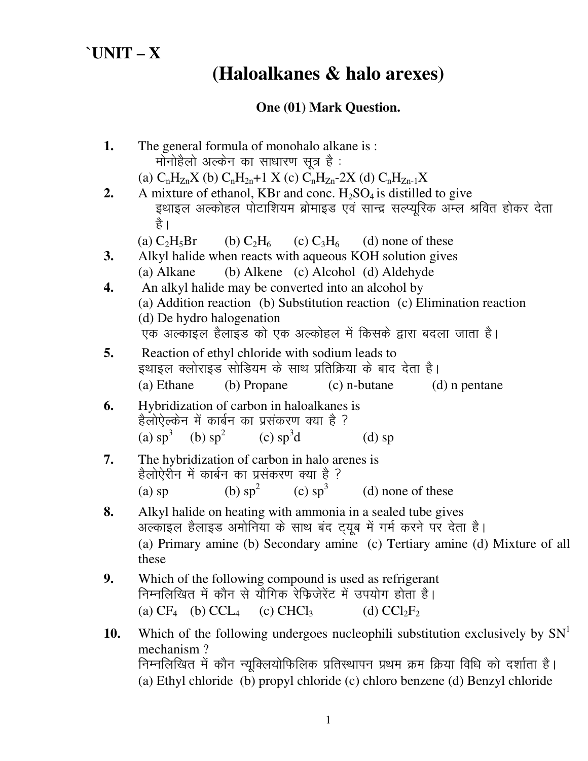## **`UNIT – X**

# **(Haloalkanes & halo arexes)**

### **One (01) Mark Question.**

| मोनोहैलो अल्केन का साधारण सूत्र है :<br>(a) $C_nH_{Zn}X$ (b) $C_nH_{2n}+1 X$ (c) $C_nH_{Zn}2X$ (d) $C_nH_{Zn-1}X$<br>2.<br>A mixture of ethanol, KBr and conc. $H_2SO_4$ is distilled to give<br>इथाइल अल्कोहल पोटाशियम ब्रोमाइड एवं सान्द्र सल्प्यूरिक अम्ल श्रवित होकर देता<br>है ।<br>(a) $C_2H_5Br$<br>(b) $C_2H_6$ (c) $C_3H_6$ (d) none of these<br>Alkyl halide when reacts with aqueous KOH solution gives<br>3.<br>(b) Alkene (c) Alcohol (d) Aldehyde<br>(a) Alkane |  |
|-------------------------------------------------------------------------------------------------------------------------------------------------------------------------------------------------------------------------------------------------------------------------------------------------------------------------------------------------------------------------------------------------------------------------------------------------------------------------------|--|
|                                                                                                                                                                                                                                                                                                                                                                                                                                                                               |  |
|                                                                                                                                                                                                                                                                                                                                                                                                                                                                               |  |
|                                                                                                                                                                                                                                                                                                                                                                                                                                                                               |  |
|                                                                                                                                                                                                                                                                                                                                                                                                                                                                               |  |
|                                                                                                                                                                                                                                                                                                                                                                                                                                                                               |  |
|                                                                                                                                                                                                                                                                                                                                                                                                                                                                               |  |
| An alkyl halide may be converted into an alcohol by<br>4.                                                                                                                                                                                                                                                                                                                                                                                                                     |  |
| (a) Addition reaction (b) Substitution reaction (c) Elimination reaction                                                                                                                                                                                                                                                                                                                                                                                                      |  |
| (d) De hydro halogenation                                                                                                                                                                                                                                                                                                                                                                                                                                                     |  |
| एक अल्काइल हैलाइड को एक अल्कोहल में किसके द्वारा बदला जाता है।                                                                                                                                                                                                                                                                                                                                                                                                                |  |
| 5.<br>Reaction of ethyl chloride with sodium leads to                                                                                                                                                                                                                                                                                                                                                                                                                         |  |
| इथाइल क्लोराइड सोडियम के साथ प्रतिक्रिया के बाद देता है।                                                                                                                                                                                                                                                                                                                                                                                                                      |  |
| (b) Propane<br>$(c)$ n-butane<br>(a) Ethane<br>(d) n pentane                                                                                                                                                                                                                                                                                                                                                                                                                  |  |
| 6.<br>Hybridization of carbon in haloalkanes is                                                                                                                                                                                                                                                                                                                                                                                                                               |  |
| हैलोऐल्केन में कार्बन का प्रसंकरण क्या है ?                                                                                                                                                                                                                                                                                                                                                                                                                                   |  |
| (a) $sp^3$ (b) $sp^2$ (c) $sp^3d$<br>$(d)$ sp                                                                                                                                                                                                                                                                                                                                                                                                                                 |  |
| 7.<br>The hybridization of carbon in halo arenes is                                                                                                                                                                                                                                                                                                                                                                                                                           |  |
| हैलोऐरीन में कार्बन का प्रसंकरण क्या है ?                                                                                                                                                                                                                                                                                                                                                                                                                                     |  |
| (b) $sp^2$ (c) $sp^3$ (d) none of these<br>$(a)$ sp                                                                                                                                                                                                                                                                                                                                                                                                                           |  |
| 8.<br>Alkyl halide on heating with ammonia in a sealed tube gives                                                                                                                                                                                                                                                                                                                                                                                                             |  |
| अल्काइल हैलाइड अमोनिया के साथ बंद ट्यूब में गर्म करने पर देता है।                                                                                                                                                                                                                                                                                                                                                                                                             |  |
| (a) Primary amine (b) Secondary amine (c) Tertiary amine (d) Mixture of all<br>these                                                                                                                                                                                                                                                                                                                                                                                          |  |
| 9.<br>Which of the following compound is used as refrigerant                                                                                                                                                                                                                                                                                                                                                                                                                  |  |
| निम्नलिखित में कौन से यौगिक रेफिजेरेंट में उपयोग होता है।                                                                                                                                                                                                                                                                                                                                                                                                                     |  |
| (a) $CF_4$ (b) $CCL_4$ (c) $CHCl_3$<br>(d) $CCl_2F_2$                                                                                                                                                                                                                                                                                                                                                                                                                         |  |
| Which of the following undergoes nucleophili substitution exclusively by $SNT$<br>10.                                                                                                                                                                                                                                                                                                                                                                                         |  |
| mechanism?                                                                                                                                                                                                                                                                                                                                                                                                                                                                    |  |
| निम्नलिखित में कौन न्यूक्लियोफिलिक प्रतिस्थापन प्रथम क्रम क्रिया विधि को दर्शाता है।                                                                                                                                                                                                                                                                                                                                                                                          |  |
| (a) Ethyl chloride (b) propyl chloride (c) chloro benzene (d) Benzyl chloride                                                                                                                                                                                                                                                                                                                                                                                                 |  |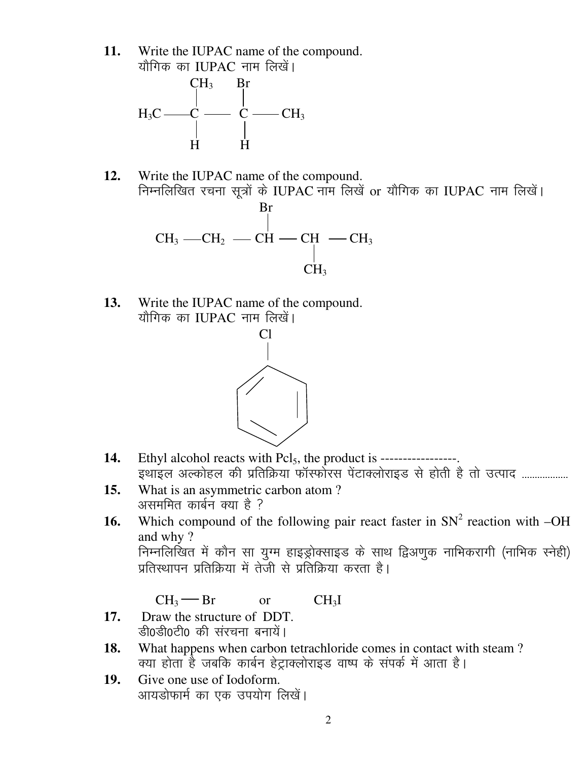**11.** Write the IUPAC name of the compound. यौगिक का IUPAC नाम लिखें।



- **12.** Write the IUPAC name of the compound. निम्नलिखित रचना सूत्रों के IUPAC नाम लिखें or यौगिक का IUPAC नाम लिखें। Br  $\rm CH_3$  —CH<sub>2</sub> — CH — CH<sub>3</sub> — CH<sub>3</sub>  $CH<sub>3</sub>$
- **13.** Write the IUPAC name of the compound. यौगिक का IUPAC नाम लिखें।



- 14. Ethyl alcohol reacts with Pcl<sub>5</sub>, the product is -----------------<u>.</u><br>इथाइल अल्कोहल की प्रतिक्रिया फॉर्स्फोरस पेंटाक्लोराइड से होती है तो उत्पाद ..................
- **15.** What is an asymmetric carbon atom ? असममित कार्बन क्या है  $\overline{?}$
- **16.** Which compound of the following pair react faster in  $SN^2$  reaction with  $-OH$ and why ? निम्नलिखित में कौन सा युग्म हाइड्रोक्साइड के साथ द्विअणुक नाभिकरागी (नाभिक स्नेही) प्रतिस्थापन प्रतिक्रिया में तेजी से प्रतिक्रिया करता है।

 $CH_3$  Br or  $CH_3I$ 

- **17.** Draw the structure of DDT. डी0डी0टी0 की संरचना बनायें।
- **18.** What happens when carbon tetrachloride comes in contact with steam ? क्या होता है जबकि कार्बन हेट्राक्लोराइड वाष्प के संपर्क में आता है।
- **19.** Give one use of Iodoform. आयडोफार्म का एक उपयोग लिखें।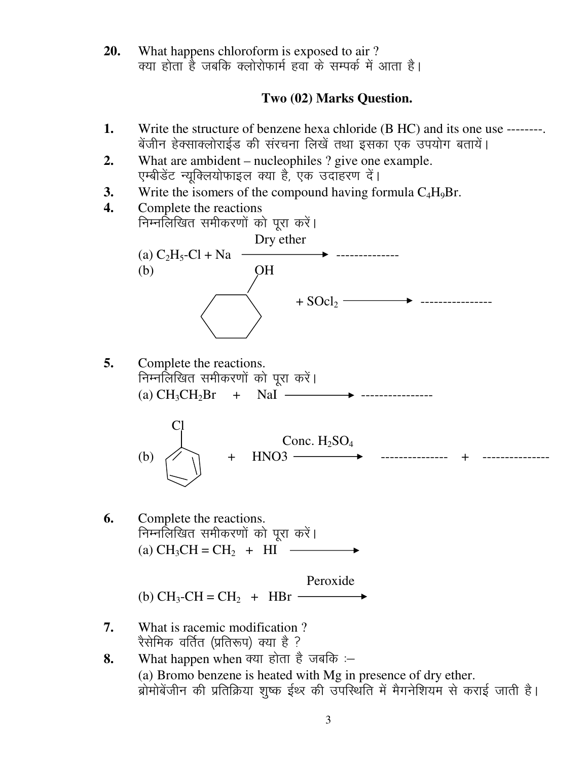**20.** What happens chloroform is exposed to air ? क्या होता है जबकि क्लोरोफार्म हवा के सम्पर्क में आता है।

#### **Two (02) Marks Question.**

- **1.** Write the structure of benzene hexa chloride (B HC) and its one use -------बेंजीन हेक्साक्लोराईड की संरचना लिखें तथा इसका एक उपयोग बतायें।
- **2.** What are ambident nucleophiles ? give one example. एम्बीडेंट न्यूक्लियोफाइल क्या है, एक उदाहरण दें।
- **3.** Write the isomers of the compound having formula  $C_4H_9Br$ .



**5.** Complete the reactions. निम्नलिखित समीकरणों को पूरा करें। (a)  $CH_3CH_2Br$  + NaI  $\longrightarrow$ 



**6.** Complete the reactions. निम्नलिखित समीकरणों को पुरा करें। (a)  $CH_3CH = CH_2 + HI \longrightarrow$ 

> Peroxide (b) CH<sub>3</sub>-CH = CH<sub>2</sub> + HBr  $-$

- **7.** What is racemic modification ? रैसेमिक वर्तित (प्रतिरूप) क्या है ?
- 8. What happen when क्या होता है जबकि :– (a) Bromo benzene is heated with Mg in presence of dry ether. ब्रोमोबेंजीन की प्रतिक्रिया शुष्क ईथ्र की उपस्थिति में मैगनेशियम से कराई जाती है।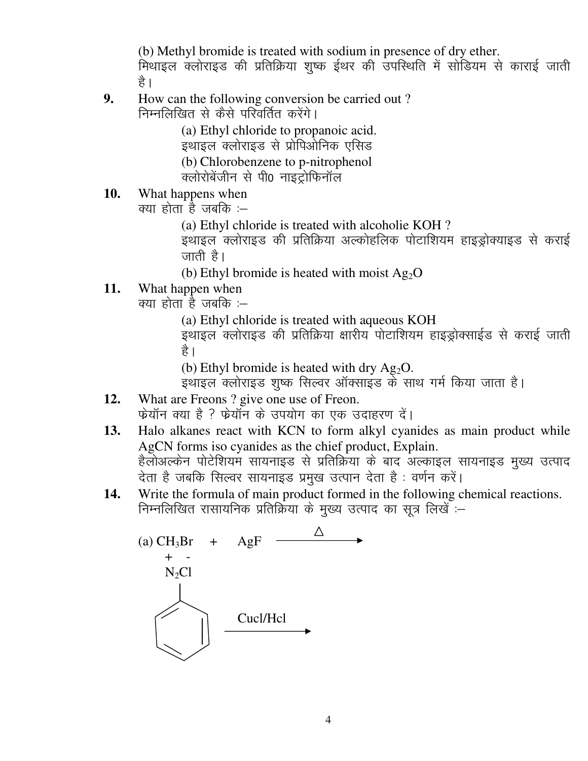(b) Methyl bromide is treated with sodium in presence of dry ether.

मिथाइल क्लोराइड की प्रतिक्रिया शुष्क ईथर की उपस्थिति में सोडियम से काराई जाती है ।

**9.** How can the following conversion be carried out ? निम्नलिखित से कैसे परिवर्तित करेंगे।

> (a) Ethyl chloride to propanoic acid. इथाइल क्लोराइड से प्रोपिओनिक एसिड (b) Chlorobenzene to p-nitrophenol क्लोरोबेंजीन से पी0 नाइट्रोफिनॉल

**10.** What happens when

क्या होता है जबकि :–

(a) Ethyl chloride is treated with alcoholie KOH ?

इथाइल क्लोराइड की प्रतिक्रिया अल्कोहलिक पोटाशियम हाइड्रोक्याइड से कराई जाती है।

(b) Ethyl bromide is heated with moist  $Ag<sub>2</sub>O$ 

**11.** What happen when

 $a$  and  $b$  and  $b$  in  $b$  in  $b$  in  $b$ 

(a) Ethyl chloride is treated with aqueous KOH

इथाइल क्लोराइड की प्रतिक्रिया क्षारीय पोटाशियम हाइड्रोक्साईड से कराई जाती है ।

(b) Ethyl bromide is heated with dry  $Ag_2O$ .

इथाइल क्लोराइड शुष्क सिल्वर ऑक्साइंड के साथ गर्म किया जाता है।

- **12.** What are Freons ? give one use of Freon. फेयॉन क्या है ? फ्रेयॉन के उपयोग का एक उदाहरण दें।
- **13.** Halo alkanes react with KCN to form alkyl cyanides as main product while AgCN forms iso cyanides as the chief product, Explain. हेलोअल्केन पोटेशियम सायनाइड से प्रतिक्रिया के बाद अल्काइल सायनाइड मुख्य उत्पाद देता है जबकि सिल्वर सायनाइड प्रमुख उत्पान देता है : वर्णन करें।
- **14.** Write the formula of main product formed in the following chemical reactions. निम्नलिखित रासायनिक प्रतिक्रिया के मुख्य उत्पाद का सूत्र लिखें :–

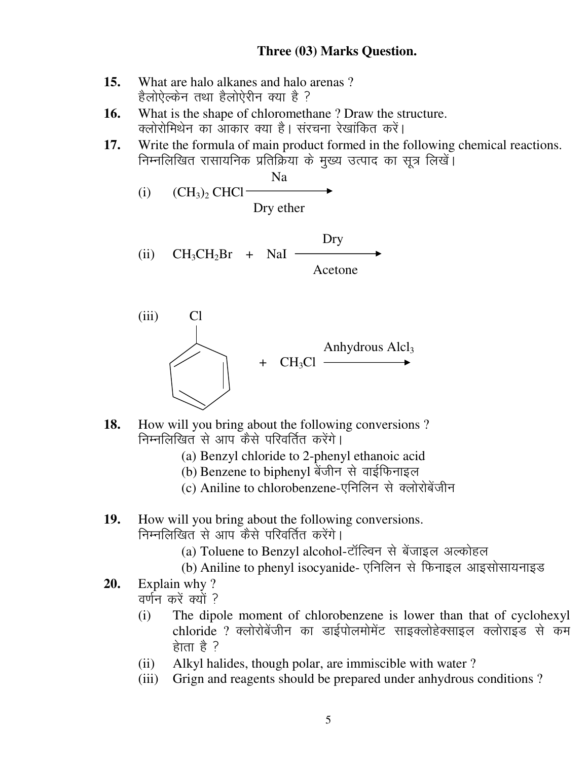#### **Three (03) Marks Question.**

- **15.** What are halo alkanes and halo arenas ? हैलोऐल्केन तथा हैलोऐरीन क्या है ?
- **16.** What is the shape of chloromethane ? Draw the structure. क्लोरोमिथेन का आकार क्या है। संरचना रेखांकित करें।
- **17.** Write the formula of main product formed in the following chemical reactions. निम्नलिखित रासायनिक प्रतिक्रिया के मुख्य उत्पाद का सूत्र लिखें।
- Na (i)  $(CH_3)_2$  CHCl – Dry ether Dry (ii)  $CH_3CH_2Br + NaI$  Acetone (iii) Cl

- **18.** How will you bring about the following conversions ? निम्नलिखित से आप कैसे परिवर्तित करेंगे।
	- (a) Benzyl chloride to 2-phenyl ethanoic acid

 $CH<sub>3</sub>Cl$ 

- (b) Benzene to biphenyl बेंजीन से वाईफिनाइल
- (c) Aniline to chlorobenzene-एनिलिन से क्लोरोबेंजीन
- **19.** How will you bring about the following conversions. निम्नलिखित से आप कैसे परिवर्तित करेंगे।
	- (a) Toluene to Benzyl alcohol-टॉल्विन से बेंजाइल अल्कोहल
	- (b) Aniline to phenyl isocyanide- एनिलिन से फिनाइल आइसोसायनाइड

Anhydrous  $Alcl<sub>3</sub>$ 

- **20.** Explain why ? <u>वर्णन करें क्यों ?</u>
	- (i) The dipole moment of chlorobenzene is lower than that of cyclohexyl chloride ? क्लोरोबेंजीन का डाईपोलमोमेंट साइक्लोहेक्साइल क्लोराइंड से कम  $\frac{1}{6}$ ति है ?
	- (ii) Alkyl halides, though polar, are immiscible with water ?
	- (iii) Grign and reagents should be prepared under anhydrous conditions ?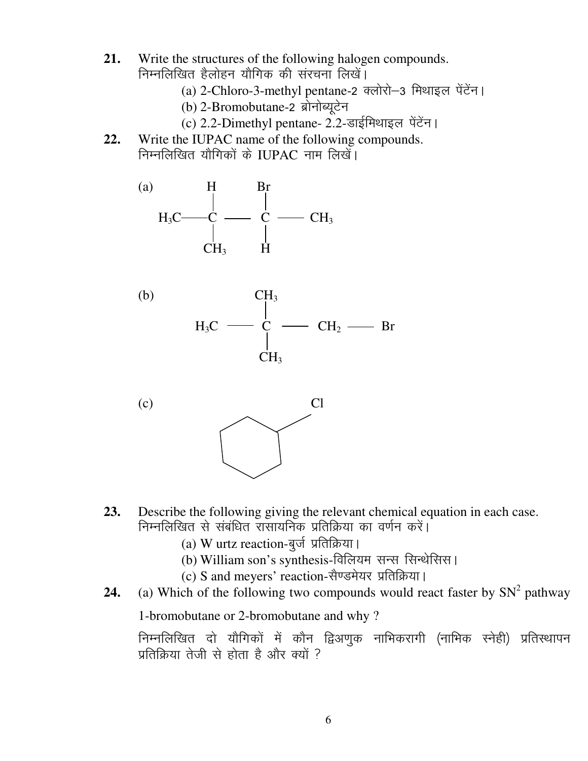- **21.** Write the structures of the following halogen compounds. निम्नलिखित हैलोहन यौगिक की संरचना लिखें।
	- (a) 2-Chloro-3-methyl pentane-2 क्लोरो-3 मिथाइल पेंटेंन।
	- (b) 2-Bromobutane-2 ब्रोनोब्यूटेन
	- (c) 2.2-Dimethyl pentane- 2.2-डाईमिथाइल पेंटेंन।
- **22.** Write the IUPAC name of the following compounds. निम्नलिखित यौगिकों के IUPAC नाम लिखें।







- **23.** Describe the following giving the relevant chemical equation in each case. निम्नलिखित से संबंधित रासायनिक प्रतिक्रिया का वर्णन करें।
	- (a) W urtz reaction-बूर्ज प्रतिक्रिया।
	- (b) William son's synthesis-विलियम सन्स सिन्थेसिस।
	- (c) S and meyers' reaction-सैण्डमेयर प्रतिक्रिया।
- **24.** (a) Which of the following two compounds would react faster by  $SN^2$  pathway

1-bromobutane or 2-bromobutane and why ?

निम्नलिखित दो यौगिकों में कौन द्विअणुक नाभिकरागी (नाभिक स्नेही) प्रतिस्थापन प्रतिक्रिया तेजी से होता है और क्यों  $?$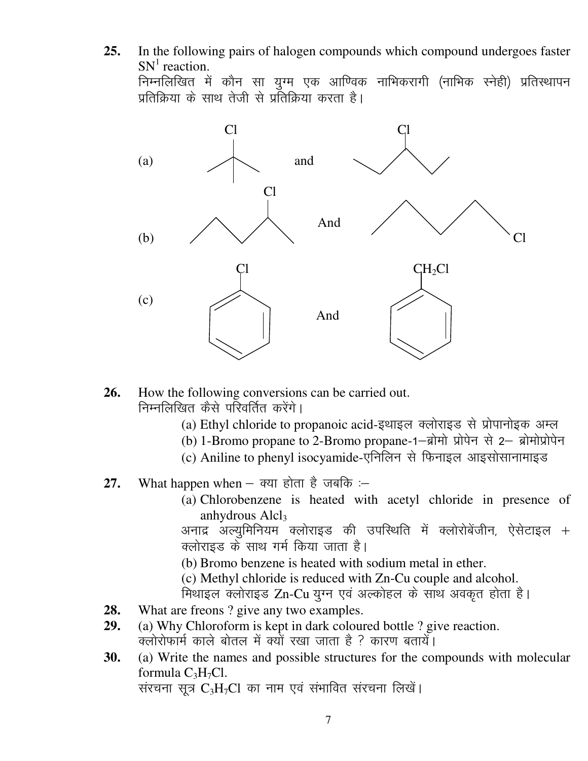**25.** In the following pairs of halogen compounds which compound undergoes faster  $SN<sup>1</sup>$  reaction.

निम्नलिखित में कौन सा युग्म एक आण्विक नाभिकरागी (नाभिक स्नेही) प्रतिस्थापन प्रतिक्रिया के साथ तेजी से प्रतिक्रिया करता है।



- **26.** How the following conversions can be carried out. निम्नलिखित कैसे परिवर्तित करेंगे।
	- (a) Ethyl chloride to propanoic acid-इथाइल क्लोराइड से प्रोपानोइक अम्ल
	- (b) 1-Bromo propane to 2-Bromo propane-1-ब्रोमो प्रोपेन से 2- ब्रोमोप्रोपेन
	- (c) Aniline to phenyl isocyamide-एनिलिन से फिनाइल आइसोसानामाइड
- **27.** What happen when  $-$  क्या होता है जबकि :-
	- (a) Chlorobenzene is heated with acetyl chloride in presence of anhydrous  $Alcl<sub>3</sub>$

अनाद्र अल्युमिनियम क्लोराइड की उपस्थिति में क्लोरोबेंजीन, ऐसेटाइल + क्लोराइड के साथ गर्म किया जाता है।

(b) Bromo benzene is heated with sodium metal in ether.

(c) Methyl chloride is reduced with Zn-Cu couple and alcohol.

f Pear and the Cu din Rei shows and sharp in the read of the set of the fill and set a lama set a set of the s

- **28.** What are freons ? give any two examples.
- **29.** (a) Why Chloroform is kept in dark coloured bottle ? give reaction.  $\overline{a}$ लोरोफार्म काले बोतल में क्यों रखा जाता है ? कारण बतायें।
- **30.** (a) Write the names and possible structures for the compounds with molecular formula  $C_3H_7Cl$ .

संरचना सूत्र  $C_3H_7Cl$  का नाम एवं संभावित संरचना लिखें।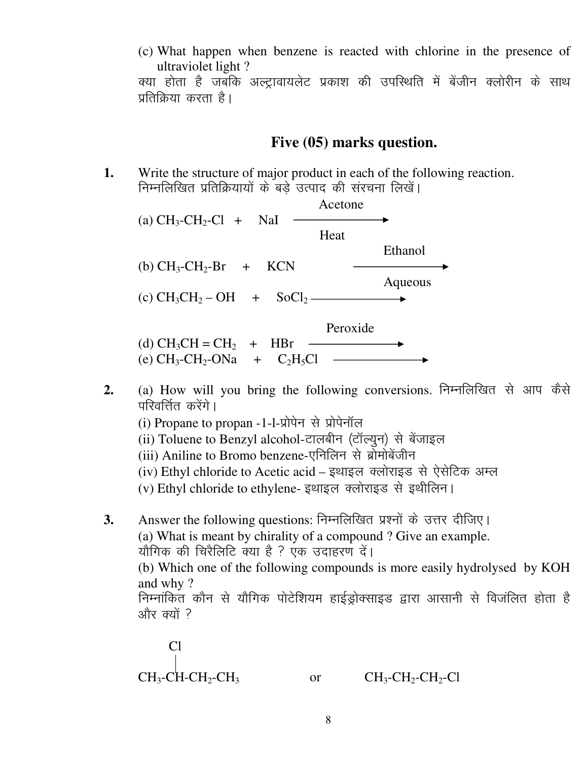(c) What happen when benzene is reacted with chlorine in the presence of ultraviolet light?

क्या होता है जबकि अल्ट्रावायलेट प्रकाश की उपस्थिति में बेंजीन क्लोरीन के साथ प्रतिक्रिया करता है।

#### Five (05) marks question.

Write the structure of major product in each of the following reaction. 1. निम्नलिखित प्रतिक्रियायों के बडे उत्पाद की संरचना लिखें।

| (a) $CH_3$ - $CH_2$ - $Cl$ + NaI                                    | Acetone  |         |
|---------------------------------------------------------------------|----------|---------|
|                                                                     | Heat     |         |
|                                                                     |          | Ethanol |
| (b) $CH_3$ - $CH_2$ -Br + KCN                                       |          | Aqueous |
| (c) $CH_3CH_2-OH + SOCl_2$ —                                        |          |         |
|                                                                     | Peroxide |         |
| (d) $CH_3CH = CH_2 + HBr$                                           |          |         |
| (e) $CH_3$ -CH <sub>2</sub> -ONa + C <sub>2</sub> H <sub>5</sub> Cl |          |         |

- (a) How will you bring the following conversions. निम्नलिखित से आप कैसे  $2.$ परिवर्त्तित करेंगे ।
	- (i) Propane to propan -1-l-प्रोपेन से प्रोपेनॉल
	- (ii) Toluene to Benzyl alcohol-टालबीन (टॉल्यून) से बेंजाइल
	- (iii) Aniline to Bromo benzene-एनिलिन से ब्रोमोबेंजीन
	- (iv) Ethyl chloride to Acetic acid इथाइल क्लोराइड से ऐसेटिक अम्ल
	- (v) Ethyl chloride to ethylene- इथाइल क्लोराइड से इथीलिन।
- Answer the following questions: निम्नलिखित प्रश्नों के उत्तर दीजिए।  $3.$ (a) What is meant by chirality of a compound? Give an example. यौगिक की चिरैलिटि क्या है ? एक उदाहरण दें। (b) Which one of the following compounds is more easily hydrolysed by KOH and why? निम्नांकित कौन से यौगिक पोटेशियम हाईड्रोक्साइड द्वारा आसानी से विजंलित होता है और क्यों ?

$$
\begin{array}{ccc}\n\text{Cl} & & \\
\downarrow & \\
\text{CH}_3\text{-}\text{CH}_2\text{-}\text{CH}_3 & \text{or} & \\
\text{CH}_3\text{-}\text{CH}_2\text{-}\text{CH}_2\text{-}\text{Cl}\n\end{array}
$$